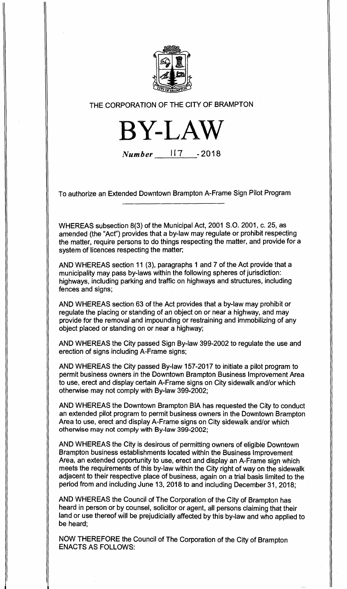

## **THE CORPORATION OF THE CITY OF BRAMPTON**

**BY-LAW** 

**Number 1(7 -2018** 

**To authorize an Extended Downtown Brampton A-Frame Sign Pilot Program** 

**WHEREAS subsection 8(3) of the Municipal Act, 2001 S.O. 2001, c. 25, as amended (the "Act") provides that a by-law may regulate or prohibit respecting the matter, require persons to do things respecting the matter, and provide for a system of licences respecting the matter;** 

**AND WHEREAS section 11 (3), paragraphs 1 and 7 of the Act provide that a municipality may pass by-laws within the following spheres of jurisdiction: highways, including parking and traffic on highways and structures, including fences and signs;** 

**AND WHEREAS section 63 of the Act provides that a by-law may prohibit or regulate the placing or standing of an object on or near a highway, and may provide for the removal and impounding or restraining and immobilizing of any object placed or standing on or near a highway;** 

**AND WHEREAS the City passed Sign By-law 399-2002 to regulate the use and erection of signs including A-Frame signs;** 

**AND WHEREAS the City passed By-law 157-2017 to initiate a pilot program to permit business owners in the Downtown Brampton Business Improvement Area to use, erect and display certain A-Frame signs on City sidewalk and/or which otherwise may not comply with By-law 399-2002;** 

**AND WHEREAS the Downtown Brampton BIA has requested the City to conduct an extended pilot program to permit business owners in the Downtown Brampton Area to use, erect and display A-Frame signs on City sidewalk and/or which otherwise may not comply with By-law 399-2002;** 

**AND WHEREAS the City is desirous of permitting owners of eligible Downtown Brampton business establishments located within the Business Improvement Area, an extended opportunity to use, erect and display an A-Frame sign which meets the requirements of this by-law within the City right of way on the sidewalk adjacent to their respective place of business, again on a trial basis limited to the period from and including June 13, 2018 to and including December 31, 2018;** 

**AND WHEREAS the Council of The Corporation of the City of Brampton has heard in person or by counsel, solicitor or agent, all persons claiming that their land or use thereof will be prejudicially affected by this by-law and who applied to be heard;** 

**NOW THEREFORE the Council of The Corporation of the City of Brampton ENACTS AS FOLLOWS:**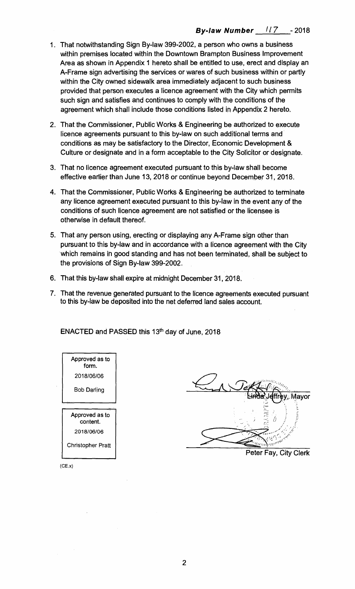- **1. That notwithstanding Sign By-law 399-2002, a person who owns a business within premises located within the Downtown Brampton Business Improvement Area as shown in Appendix 1 hereto shall be entitled to use, erect and display an A-Frame sign advertising the services or wares of such business within or partly within the City owned sidewalk area immediately adjacent to such business provided that person executes a licence agreement with the City which permits such sign and satisfies and continues to comply with the conditions of the agreement which shall include those conditions listed in Appendix 2 hereto.**
- **2. That the Commissioner, Public Works & Engineering be authorized to execute licence agreements pursuant to this by-law on such additional terms and conditions as may be satisfactory to the Director, Economic Development & Culture or designate and in a form acceptable to the City Solicitor or designate.**
- **3. That no licence agreement executed pursuant to this by-law shall become effective earlier than June 13, 2018 or continue beyond December 31, 2018.**
- **4. That the Commissioner, Public Works & Engineering be authorized to terminate any licence agreement executed pursuant to this by-law in the event any of the conditions of such licence agreement are not satisfied or the licensee is otherwise in default thereof.**
- **5. That any person using, erecting or displaying any A-Frame sign other than pursuant to this by-law and in accordance with a licence agreement with the City which remains in good standing and has not been terminated, shall be subject to the provisions of Sign By-law 399-2002.**
- **6. That this by-law shall expire at midnight December 31, 2018.**
- **7. That the revenue generated pursuant to the licence agreements executed pursuant to this by-law be deposited into the net deferred land sales account.**

**ENACTED and PASSED this 13th day of June, 2018** 



Set ev. Mavor



 $(CE.x)$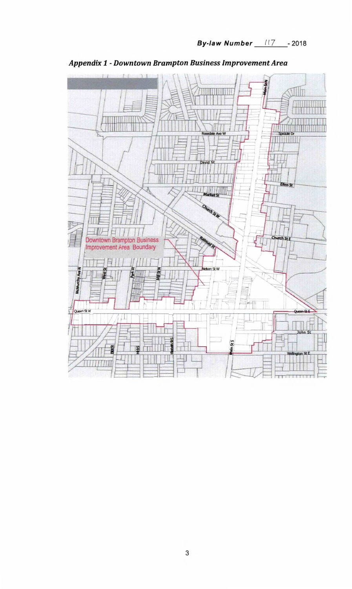

**Appendix 1 - Downtown Brampton Business Improvement Area**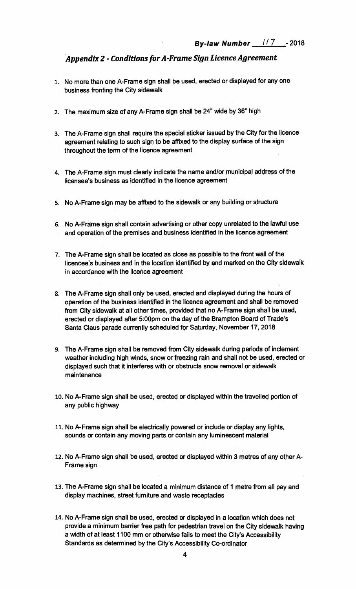## *Appendix 2 - Conditions for A-Frame Sign Licence Agreement*

- **1. No more than one A-Frame sign shall be used, erected or displayed for any one business fronting the City sidewalk**
- **2. The maximum size of any A-Frame sign shall be 24" wide by 36" high**
- **3. The A-Frame sign shall require the special sticker issued by the City for the licence agreement relating to such sign to be affixed to the display surface of the sign throughout the term of the licence agreement**
- **4. The A-Frame sign must clearly indicate the name and/or municipal address of the licensee's business as identified in the licence agreement**
- **5. No A-Frame sign may be affixed to the sidewalk or any building or structure**
- **6. No A-Frame sign shall contain advertising or other copy unrelated to the lawful use and operation of the premises and business identified in the licence agreement**
- **7. The A-Frame sign shall be located as close as possible to the front wall of the licencee's business and in the location identified by and marked on the City sidewalk in accordance with the licence agreement**
- **8. The A-Frame sign shall only be used, erected and displayed during the hours of operation of the business identified in the licence agreement and shall be removed from City sidewalk at all other times, provided that no A-Frame sign shall be used, erected or displayed after 5:00pm on the day of the Brampton Board of Trade's Santa Claus parade currently scheduled for Saturday, November 17, 2018**
- **9. The A-Frame sign shall be removed from City sidewalk during periods of inclement weather including high winds, snow or freezing rain and shall not be used, erected or displayed such that it interferes with or obstructs snow removal or sidewalk maintenance**
- **10. No A-Frame sign shall be used, erected or displayed within the travelled portion of any public highway**
- **11. No A-Frame sign shall be electrically powered or include or display any lights, sounds or contain any moving parts or contain any luminescent material**
- **12. No A-Frame sign shall be used, erected or displayed within 3 metres of any other A-Frame sign**
- **13. The A-Frame sign shall be located a minimum distance of 1 metre from all pay and display machines, street furniture and waste receptacles**
- **14. No A-Frame sign shall be used, erected or displayed in a location which does not provide a minimum barrier free path for pedestrian travel on the City sidewalk having a width of at least 1100 mm or otherwise fails to meet the City's Accessibility Standards as determined by the City's Accessibility Co-ordinator**